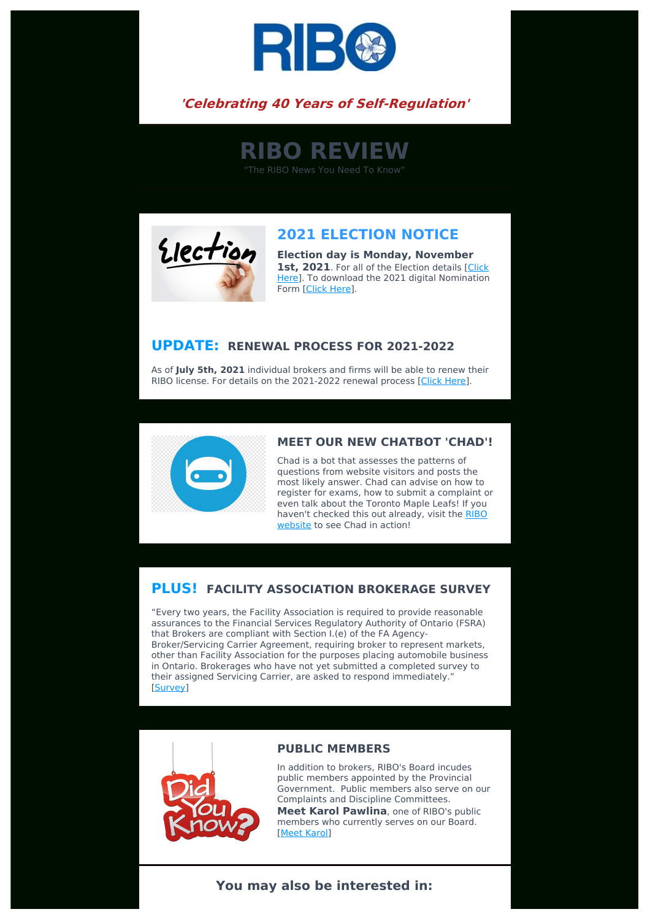

# **'Celebrating 40 Years of Self-Regulation'**

**RIBO REVIEW**

"The RIBO News You Need To Know"



# **2021 ELECTION NOTICE**

**Election day is Monday, November** 1st. 2021. For all of the Election details [Click] Here]. To download the 2021 digital [Nomination](https://www.ribo.com/election-of-council-members/) Form [\[Click](https://www.ribo.com/2021-council-nomination-form/) Here].

## **UPDATE: RENEWAL PROCESS FOR 2021-2022**

As of **July 5th, 2021** individual brokers and firms will be able to renew their RIBO license. For details on the 2021-2022 renewal process [Click [Here\]](https://www.ribo.com/online-renewal-fee-structure/).



#### **MEET OUR NEW CHATBOT 'CHAD'!**

Chad is a bot that assesses the patterns of questions from website visitors and posts the most likely answer. Chad can advise on how to register for exams, how to submit a complaint or even talk about the Toronto Maple Leafs! If you haven't [checked](https://www.ribo.com/) this out already, visit the RIBO website to see Chad in action!

## **PLUS! FACILITY ASSOCIATION BROKERAGE SURVEY**

"Every two years, the Facility Association is required to provide reasonable assurances to the Financial Services Regulatory Authority of Ontario (FSRA) that Brokers are compliant with Section I.(e) of the FA Agency-Broker/Servicing Carrier Agreement, requiring broker to represent markets, other than Facility Association for the purposes placing automobile business in Ontario. Brokerages who have not yet submitted a completed survey to their assigned Servicing Carrier, are asked to respond immediately." [[Survey\]](https://www.facilityassociation.com/docs/ON%20AGCY%202021-01%20Broker%20Market%20Survey.pdf)



#### **PUBLIC MEMBERS**

In addition to brokers, RIBO's Board incudes public members appointed by the Provincial Government. Public members also serve on our Complaints and Discipline Committees.

**Meet Karol Pawlina**, one of RIBO's public members who currently serves on our Board. [Meet [Karol\]](https://www.ribo.com/public-member-perspective/)

### **You may also be interested in:**